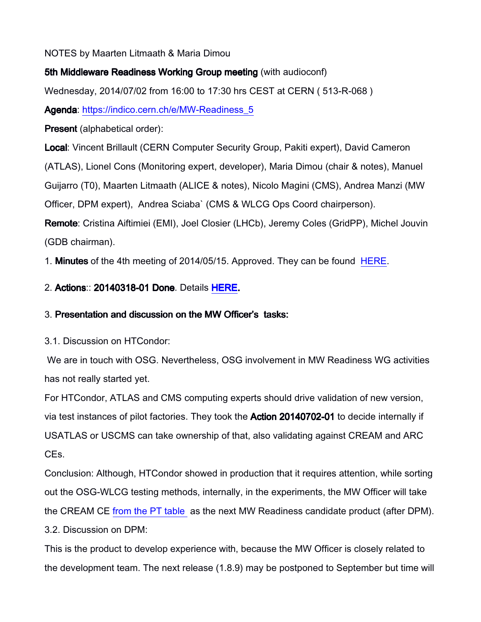### NOTES by Maarten Litmaath & Maria Dimou

## 5th Middleware Readiness Working Group meeting (with audioconf)

Wednesday, 2014/07/02 from 16:00 to 17:30 hrs CEST at CERN ( 513-R-068 )

Agenda: [https://indico.cern.ch/e/MW-Readiness\\_5](https://indico.cern.ch/e/MW-Readiness_5)

Present (alphabetical order):

Local: Vincent Brillault (CERN Computer Security Group, Pakiti expert), David Cameron

(ATLAS), Lionel Cons (Monitoring expert, developer), Maria Dimou (chair & notes), Manuel

Guijarro (T0), Maarten Litmaath (ALICE & notes), Nicolo Magini (CMS), Andrea Manzi (MW

Officer, DPM expert), Andrea Sciaba` (CMS & WLCG Ops Coord chairperson).

Remote: Cristina Aiftimiei (EMI), Joel Closier (LHCb), Jeremy Coles (GridPP), Michel Jouvin (GDB chairman).

1. **Minutes** of the 4th meeting of 2014/05/15. Approved. They can be found [HERE.](http://indico.cern.ch/event/314807/material/minutes/1.pdf)

# 2. Actions:: 20140318-01 Done. Details HERE.

# 3. Presentation and discussion on the MW Officer's tasks:

3.1. Discussion on HTCondor:

 We are in touch with OSG. Nevertheless, OSG involvement in MW Readiness WG activities has not really started yet.

For HTCondor, ATLAS and CMS computing experts should drive validation of new version, via test instances of pilot factories. They took the **Action 20140702-01** to decide internally if USATLAS or USCMS can take ownership of that, also validating against CREAM and ARC CEs.

Conclusion: Although, HTCondor showed in production that it requires attention, while sorting out the OSG-WLCG testing methods, internally, in the experiments, the MW Officer will take the CREAM CE [from the PT table](https://twiki.cern.ch/twiki/bin/view/LCG/MiddlewareReadiness#Product_Teams) as the next MW Readiness candidate product (after DPM). 3.2. Discussion on DPM:

This is the product to develop experience with, because the MW Officer is closely related to the development team. The next release (1.8.9) may be postponed to September but time will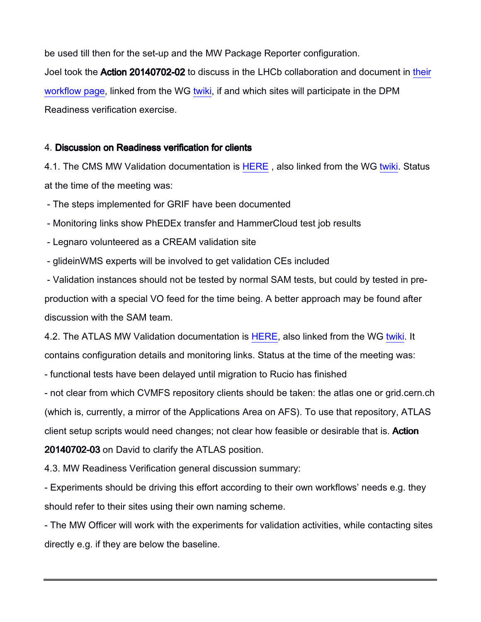be used till then for the set-up and the MW Package Reporter configuration. Joel took the Action 20140702-02 to discuss in the LHCb collaboration and document in their [workflow page,](http://lhcb-release-area.web.cern.ch/LHCb-release-area/DOC/lhcbdirac/rst/html/Certification/tree.html) linked from the WG [twiki,](https://twiki.cern.ch/twiki/bin/view/LCG/MiddlewareReadiness#Experiment_workflows) if and which sites will participate in the DPM Readiness verification exercise.

#### 4. Discussion on Readiness verification for clients

4.1. The CMS MW Validation documentation is HERE, also linked from the WG [twiki.](https://twiki.cern.ch/twiki/bin/view/LCG/MiddlewareReadiness#Experiment_workflows) Status at the time of the meeting was:

- The steps implemented for GRIF have been documented

- Monitoring links show PhEDEx transfer and HammerCloud test job results

- Legnaro volunteered as a CREAM validation site

- glideinWMS experts will be involved to get validation CEs included

 - Validation instances should not be tested by normal SAM tests, but could by tested in preproduction with a special VO feed for the time being. A better approach may be found after discussion with the SAM team.

4.2. The ATLAS MW Validation documentation is [HERE,](https://twiki.cern.ch/twiki/bin/viewauth/AtlasComputing/MiddlewareReadinessWorkingGroup) also linked from the WG [twiki.](https://twiki.cern.ch/twiki/bin/view/LCG/MiddlewareReadiness#Experiment_workflows) It contains configuration details and monitoring links. Status at the time of the meeting was:

- functional tests have been delayed until migration to Rucio has finished

- not clear from which CVMFS repository clients should be taken: the atlas one or grid.cern.ch (which is, currently, a mirror of the Applications Area on AFS). To use that repository, ATLAS client setup scripts would need changes; not clear how feasible or desirable that is. Action 20140702-03 on David to clarify the ATLAS position.

4.3. MW Readiness Verification general discussion summary:

- Experiments should be driving this effort according to their own workflows' needs e.g. they should refer to their sites using their own naming scheme.

- The MW Officer will work with the experiments for validation activities, while contacting sites directly e.g. if they are below the baseline.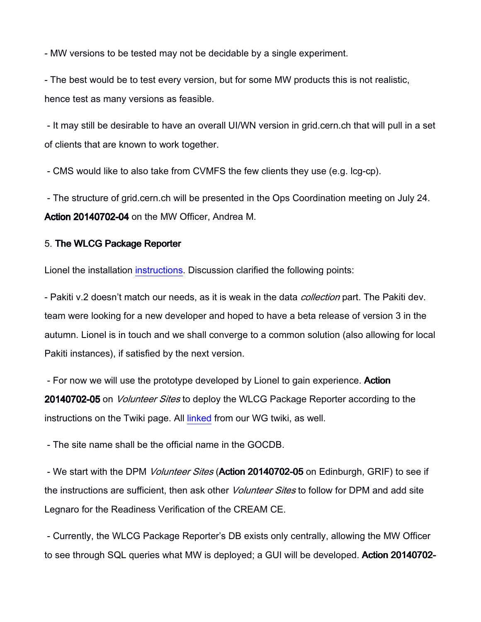- MW versions to be tested may not be decidable by a single experiment.

- The best would be to test every version, but for some MW products this is not realistic, hence test as many versions as feasible.

 - It may still be desirable to have an overall UI/WN version in grid.cern.ch that will pull in a set of clients that are known to work together.

- CMS would like to also take from CVMFS the few clients they use (e.g. lcg-cp).

 - The structure of grid.cern.ch will be presented in the Ops Coordination meeting on July 24. Action 20140702-04 on the MW Officer, Andrea M.

#### 5. The WLCG Package Reporter

Lionel the installation [instructions.](https://twiki.cern.ch/twiki/bin/view/LCG/MiddlewarePackageReporter) Discussion clarified the following points:

- Pakiti v.2 doesn't match our needs, as it is weak in the data *collection* part. The Pakiti dev. team were looking for a new developer and hoped to have a beta release of version 3 in the autumn. Lionel is in touch and we shall converge to a common solution (also allowing for local Pakiti instances), if satisfied by the next version.

- For now we will use the prototype developed by Lionel to gain experience. Action 20140702-05 on *Volunteer Sites* to deploy the WLCG Package Reporter according to the instructions on the Twiki page. All [linked](https://twiki.cern.ch/twiki/bin/view/LCG/MiddlewareReadiness#The_WLCG_MW_Package_Reporter) from our WG twiki, as well.

- The site name shall be the official name in the GOCDB.

- We start with the DPM Volunteer Sites (Action 20140702-05 on Edinburgh, GRIF) to see if the instructions are sufficient, then ask other *Volunteer Sites* to follow for DPM and add site Legnaro for the Readiness Verification of the CREAM CE.

 - Currently, the WLCG Package Reporter's DB exists only centrally, allowing the MW Officer to see through SQL queries what MW is deployed; a GUI will be developed. Action 20140702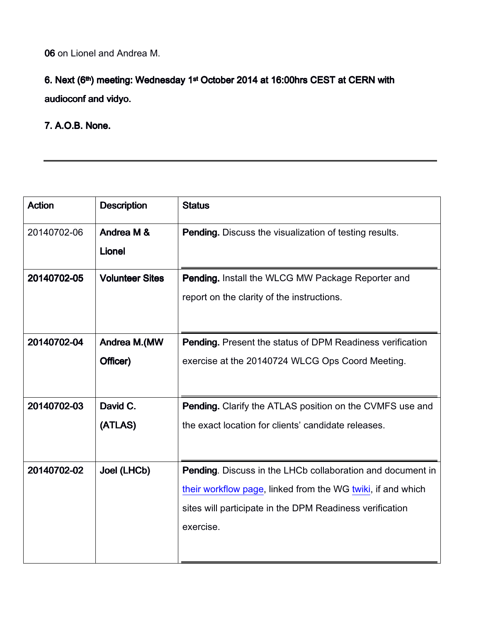06 on Lionel and Andrea M.

# 6. Next (6<sup>th</sup>) meeting: Wednesday 1<sup>st</sup> October 2014 at 16:00hrs CEST at CERN with audioconf and vidyo.

## 7. A.O.B. None.

| <b>Action</b> | <b>Description</b>     | <b>Status</b>                                                     |
|---------------|------------------------|-------------------------------------------------------------------|
| 20140702-06   | Andrea M &             | <b>Pending.</b> Discuss the visualization of testing results.     |
|               | <b>Lionel</b>          |                                                                   |
| 20140702-05   | <b>Volunteer Sites</b> | <b>Pending.</b> Install the WLCG MW Package Reporter and          |
|               |                        | report on the clarity of the instructions.                        |
|               |                        |                                                                   |
| 20140702-04   | Andrea M.(MW           | <b>Pending.</b> Present the status of DPM Readiness verification  |
|               | Officer)               | exercise at the 20140724 WLCG Ops Coord Meeting.                  |
|               |                        |                                                                   |
| 20140702-03   | David C.               | Pending. Clarify the ATLAS position on the CVMFS use and          |
|               | (ATLAS)                | the exact location for clients' candidate releases.               |
|               |                        |                                                                   |
| 20140702-02   | Joel (LHCb)            | <b>Pending.</b> Discuss in the LHCb collaboration and document in |
|               |                        | their workflow page, linked from the WG twiki, if and which       |
|               |                        | sites will participate in the DPM Readiness verification          |
|               |                        | exercise.                                                         |
|               |                        |                                                                   |